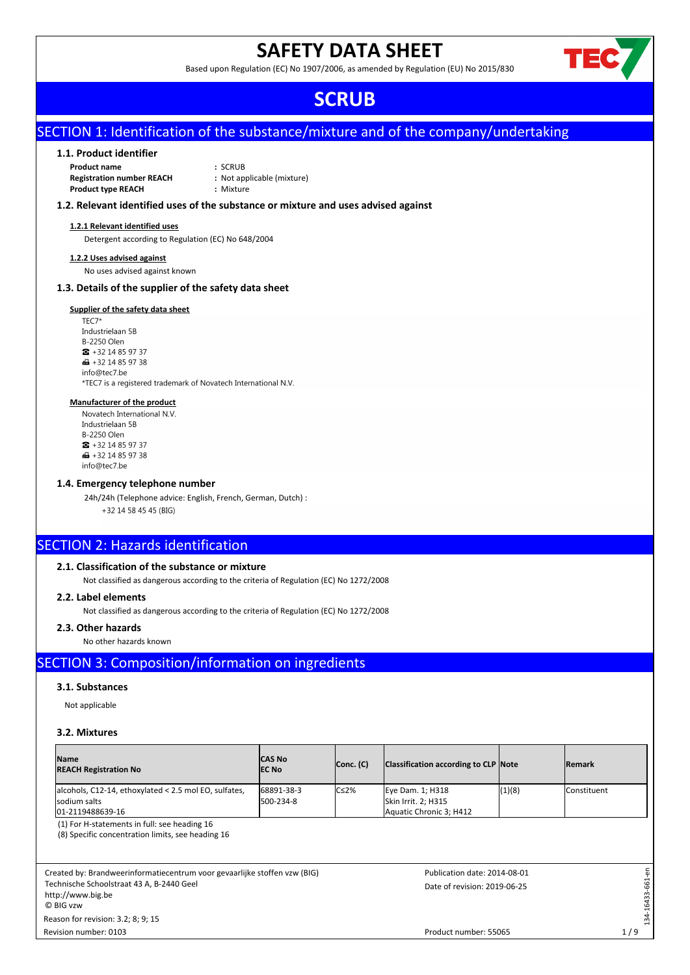# **SAFETY DATA SHEET**

Based upon Regulation (EC) No 1907/2006, as amended by Regulation (EU) No 2015/830



# **SCRUB**

# SECTION 1: Identification of the substance/mixture and of the company/undertaking

## **1.1. Product identifier**

**Product name :** SCRUB **Registration number REACH :** Not applicable (mixture) **Product type REACH :** Mixture

#### **1.2. Relevant identified uses of the substance or mixture and uses advised against**

#### **1.2.1 Relevant identified uses**

Detergent according to Regulation (EC) No 648/2004

#### **1.2.2 Uses advised against**

No uses advised against known

## **1.3. Details of the supplier of the safety data sheet**

# **Supplier of the safety data sheet**

TEC7\* Industrielaan 5B **B-2250 Olen**  $\bullet$  +32 14 85 97 37 ■ +32 14 85 97 38 info@tec7.be \*TEC7 is a registered trademark of Novatech International N.V.

#### **Manufacturer of the product**

Novatech International N.V. Industrielaan 5B **B-2250 Olen**  $\bullet$  +32 14 85 97 37  $\bigoplus$  +32 14 85 97 38 info@tec7.be

#### **1.4. Emergency telephone number**

24h/24h (Telephone advice: English, French, German, Dutch) : +32 14 58 45 45 (BIG)

# SECTION 2: Hazards identification

## **2.1. Classification of the substance or mixture**

Not classified as dangerous according to the criteria of Regulation (EC) No 1272/2008

#### **2.2. Label elements**

Not classified as dangerous according to the criteria of Regulation (EC) No 1272/2008

# **2.3. Other hazards**

No other hazards known

# SECTION 3: Composition/information on ingredients

## **3.1. Substances**

Not applicable

# **3.2. Mixtures**

| <b>Name</b><br><b>REACH Registration No</b>                                                                                                              | ICAS No<br><b>IEC No</b> | Conc. (C)                                                    | Classification according to CLP Note                               |                       | <b>Remark</b>      |
|----------------------------------------------------------------------------------------------------------------------------------------------------------|--------------------------|--------------------------------------------------------------|--------------------------------------------------------------------|-----------------------|--------------------|
| alcohols, C12-14, ethoxylated < 2.5 mol EO, sulfates,<br>lsodium salts<br>01-2119488639-16                                                               | 68891-38-3<br>500-234-8  | $C \leq 2\%$                                                 | Eye Dam. 1; H318<br>Skin Irrit. 2; H315<br>Aquatic Chronic 3; H412 | (1)(8)                | <b>Constituent</b> |
| (1) For H-statements in full: see heading 16<br>(8) Specific concentration limits, see heading 16                                                        |                          |                                                              |                                                                    |                       |                    |
| Created by: Brandweerinformatiecentrum voor gevaarlijke stoffen vzw (BIG)<br>Technische Schoolstraat 43 A, B-2440 Geel<br>http://www.big.be<br>C BIG vzw |                          | Publication date: 2014-08-01<br>Date of revision: 2019-06-25 |                                                                    | g<br>$-661$<br>16433- |                    |
| Reason for revision: 3.2; 8; 9; 15                                                                                                                       |                          |                                                              |                                                                    |                       | 134                |
| Revision number: 0103                                                                                                                                    |                          |                                                              | Product number: 55065                                              |                       | 1/9                |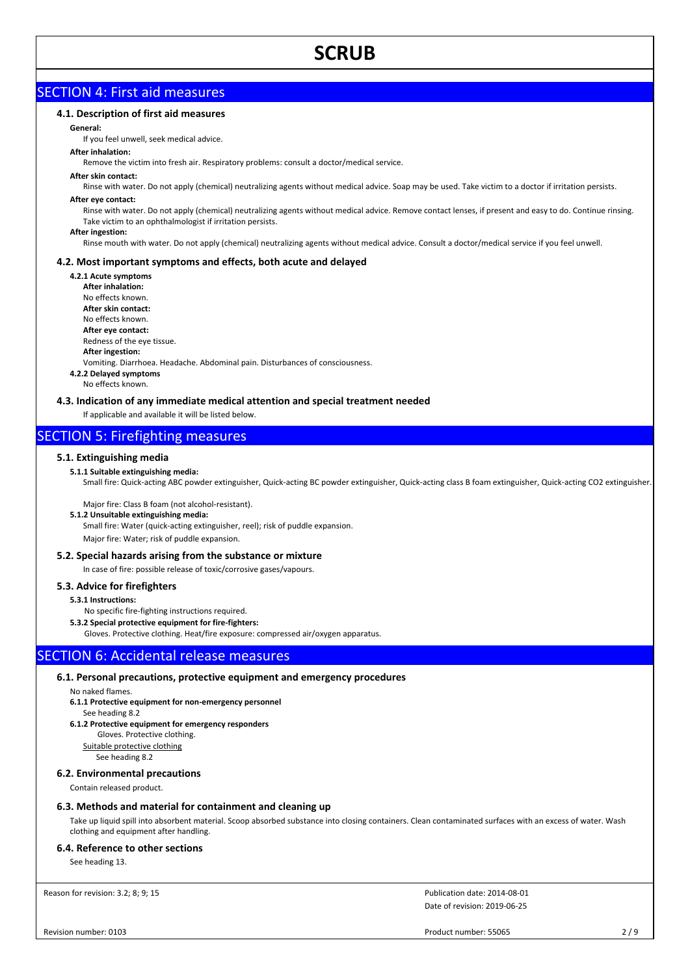# SECTION 4: First aid measures

### **4.1. Description of first aid measures**

#### **General:**

If you feel unwell, seek medical advice.

## **After inhalation:**

Remove the victim into fresh air. Respiratory problems: consult a doctor/medical service.

#### **After skin contact:**

Rinse with water. Do not apply (chemical) neutralizing agents without medical advice. Soap may be used. Take victim to a doctor if irritation persists.

#### **After eye contact:**

Rinse with water. Do not apply (chemical) neutralizing agents without medical advice. Remove contact lenses, if present and easy to do. Continue rinsing. Take victim to an ophthalmologist if irritation persists.

#### **After ingestion:**

Rinse mouth with water. Do not apply (chemical) neutralizing agents without medical advice. Consult a doctor/medical service if you feel unwell.

#### **4.2. Most important symptoms and effects, both acute and delayed**

**4.2.1 Acute symptoms After inhalation:** No effects known. **After skin contact:** No effects known. **After eye contact:** Redness of the eye tissue. **After ingestion:** Vomiting. Diarrhoea. Headache. Abdominal pain. Disturbances of consciousness. **4.2.2 Delayed symptoms** No effects known.

# **4.3. Indication of any immediate medical attention and special treatment needed**

If applicable and available it will be listed below.

# SECTION 5: Firefighting measures

#### **5.1. Extinguishing media**

#### **5.1.1 Suitable extinguishing media:**

Small fire: Quick-acting ABC powder extinguisher, Quick-acting BC powder extinguisher, Quick-acting class B foam extinguisher, Quick-acting CO2 extinguisher.

Major fire: Class B foam (not alcohol-resistant).

#### **5.1.2 Unsuitable extinguishing media:**

Small fire: Water (quick-acting extinguisher, reel); risk of puddle expansion. Major fire: Water; risk of puddle expansion.

### **5.2. Special hazards arising from the substance or mixture**

In case of fire: possible release of toxic/corrosive gases/vapours.

#### **5.3. Advice for firefighters**

**5.3.1 Instructions:**

No specific fire-fighting instructions required.

**5.3.2 Special protective equipment for fire-fighters:**

Gloves. Protective clothing. Heat/fire exposure: compressed air/oxygen apparatus.

# SECTION 6: Accidental release measures

### **6.1. Personal precautions, protective equipment and emergency procedures**

No naked flames.

- **6.1.1 Protective equipment for non-emergency personnel**
	- See heading 8.2

**6.1.2 Protective equipment for emergency responders** Gloves. Protective clothing.

Suitable protective clothing

See heading 8.2

## **6.2. Environmental precautions**

Contain released product.

# **6.3. Methods and material for containment and cleaning up**

Take up liquid spill into absorbent material. Scoop absorbed substance into closing containers. Clean contaminated surfaces with an excess of water. Wash clothing and equipment after handling.

## **6.4. Reference to other sections**

See heading 13.

Reason for revision: 3.2; 8; 9; 15

Date of revision: 2019-06-25 Publication date: 2014-08-01

Revision number: 0103

Product number: 55065 2/9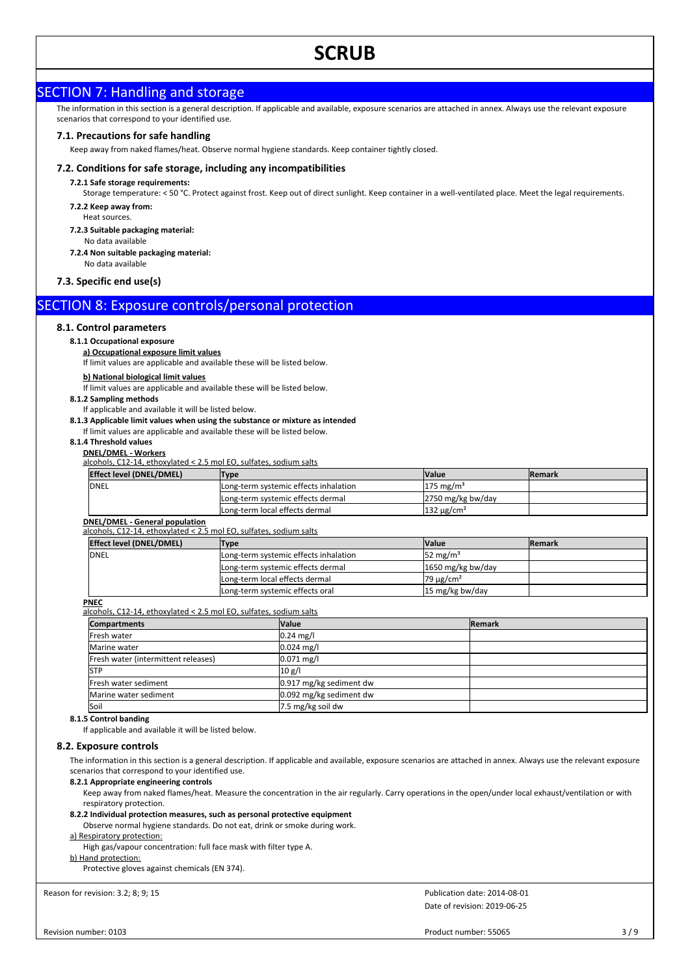# SECTION 7: Handling and storage

The information in this section is a general description. If applicable and available, exposure scenarios are attached in annex. Always use the relevant exposure scenarios that correspond to your identified use.

## **7.1. Precautions for safe handling**

Keep away from naked flames/heat. Observe normal hygiene standards. Keep container tightly closed.

#### **7.2. Conditions for safe storage, including any incompatibilities**

#### **7.2.1 Safe storage requirements:**

Storage temperature: < 50 °C. Protect against frost. Keep out of direct sunlight. Keep container in a well-ventilated place. Meet the legal requirements. **7.2.2 Keep away from:**

Heat sources.

- **7.2.3 Suitable packaging material:**
- No data available
- **7.2.4 Non suitable packaging material:** No data available

### **7.3. Specific end use(s)**

# SECTION 8: Exposure controls/personal protection

#### **8.1. Control parameters**

#### **8.1.1 Occupational exposure**

**a) Occupational exposure limit values**

If limit values are applicable and available these will be listed below.

#### **b) National biological limit values**

If limit values are applicable and available these will be listed below.

**8.1.2 Sampling methods**

If applicable and available it will be listed below.

#### **8.1.3 Applicable limit values when using the substance or mixture as intended**

If limit values are applicable and available these will be listed below.

## **8.1.4 Threshold values**

#### **DNEL/DMEL - Workers**

alcohols, C12-14, ethoxylated < 2.5 mol EO, sulfates, sodium salts

| Effect level (DNEL/DMEL) | 'Type                                 | <b>Nalue</b>          | <b>IRemark</b> |
|--------------------------|---------------------------------------|-----------------------|----------------|
| DNEL                     | Long-term systemic effects inhalation | $1175 \text{ mg/m}^3$ |                |
|                          | Long-term systemic effects dermal     | 2750 mg/kg bw/day     |                |
|                          | Long-term local effects dermal        | $132 \mu g/cm^2$      |                |

#### **DNEL/DMEL - General population**

alcohols, C12-14, ethoxylated < 2.5 mol EO, sulfates, sodium salts

| Effect level (DNEL/DMEL) | <b>Type</b>                           | <b>Value</b>              | <b>IRemark</b> |
|--------------------------|---------------------------------------|---------------------------|----------------|
| <b>DNEL</b>              | Long-term systemic effects inhalation | $52 \text{ mg/m}^3$       |                |
|                          | Long-term systemic effects dermal     | 1650 mg/kg bw/day         |                |
|                          | Long-term local effects dermal        | $179 \mu g/cm^2$          |                |
|                          | Long-term systemic effects oral       | $15 \text{ mg/kg}$ bw/day |                |

#### **PNEC**

alcohols, C12-14, ethoxylated < 2.5 mol EO, sulfates, sodium salts

| <b>Compartments</b>                 | <b>Value</b>            | <b>Remark</b> |  |  |  |  |
|-------------------------------------|-------------------------|---------------|--|--|--|--|
| Fresh water                         | $0.24$ mg/l             |               |  |  |  |  |
| Marine water                        | $0.024$ mg/l            |               |  |  |  |  |
| Fresh water (intermittent releases) | $0.071$ mg/l            |               |  |  |  |  |
| <b>STP</b>                          | 10 g/l                  |               |  |  |  |  |
| Fresh water sediment                | 0.917 mg/kg sediment dw |               |  |  |  |  |
| Marine water sediment               | 0.092 mg/kg sediment dw |               |  |  |  |  |
| Soil                                | 7.5 mg/kg soil dw       |               |  |  |  |  |

#### **8.1.5 Control banding**

If applicable and available it will be listed below.

#### **8.2. Exposure controls**

The information in this section is a general description. If applicable and available, exposure scenarios are attached in annex. Always use the relevant exposure scenarios that correspond to your identified use.

#### **8.2.1 Appropriate engineering controls**

Keep away from naked flames/heat. Measure the concentration in the air regularly. Carry operations in the open/under local exhaust/ventilation or with respiratory protection.

#### **8.2.2 Individual protection measures, such as personal protective equipment**

Observe normal hygiene standards. Do not eat, drink or smoke during work.

#### a) Respiratory protection:

High gas/vapour concentration: full face mask with filter type A.

#### b) Hand protection:

Protective gloves against chemicals (EN 374).

Reason for revision: 3.2; 8; 9; 15

Date of revision: 2019-06-25 Publication date: 2014-08-01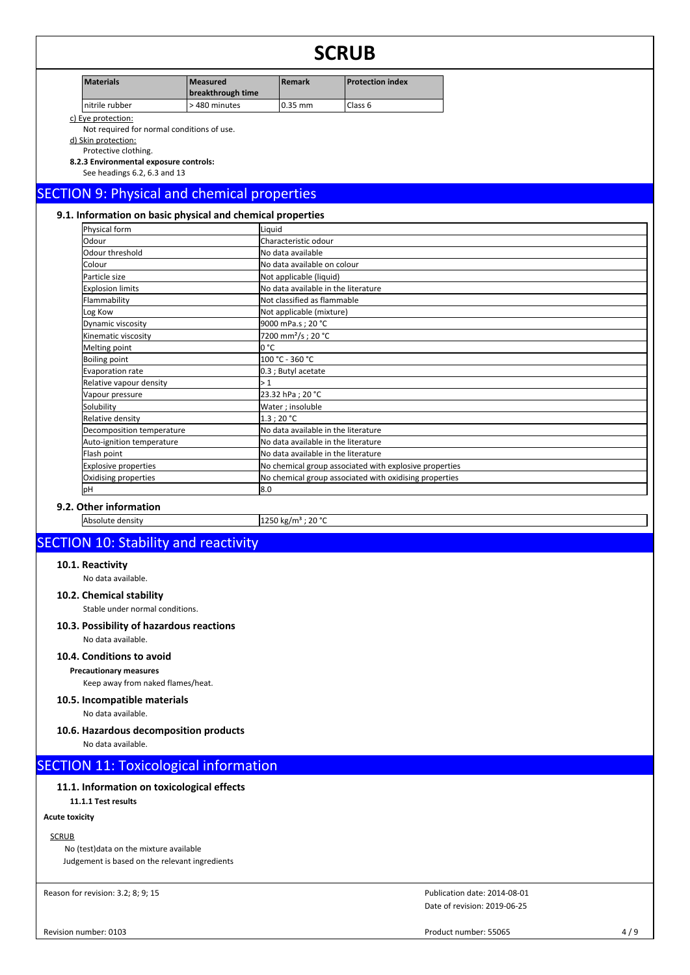| l Materials    | l Measured<br>breakthrough time |           | l Protection index |  |
|----------------|---------------------------------|-----------|--------------------|--|
| nitrile rubber | >480 minutes                    | $0.35$ mm | Class 6            |  |

c) Eye protection: Not required for normal conditions of use.

d) Skin protection:

Protective clothing.

**8.2.3 Environmental exposure controls:**

See headings 6.2, 6.3 and 13

# SECTION 9: Physical and chemical properties

# **9.1. Information on basic physical and chemical properties**

| Physical form               | Liquid                                                 |
|-----------------------------|--------------------------------------------------------|
| Odour                       | Characteristic odour                                   |
| Odour threshold             | No data available                                      |
| Colour                      | No data available on colour                            |
| Particle size               | Not applicable (liquid)                                |
| <b>Explosion limits</b>     | No data available in the literature                    |
| Flammability                | Not classified as flammable                            |
| Log Kow                     | Not applicable (mixture)                               |
| Dynamic viscosity           | 9000 mPa.s; 20 °C                                      |
| Kinematic viscosity         | 7200 mm <sup>2</sup> /s; 20 °C                         |
| Melting point               | lo °c                                                  |
| <b>Boiling point</b>        | 100 °C - 360 °C                                        |
| Evaporation rate            | 0.3 ; Butyl acetate                                    |
| Relative vapour density     | >1                                                     |
| Vapour pressure             | 23.32 hPa; 20 °C                                       |
| Solubility                  | Water; insoluble                                       |
| Relative density            | 1.3:20 °C                                              |
| Decomposition temperature   | No data available in the literature                    |
| Auto-ignition temperature   | No data available in the literature                    |
| Flash point                 | No data available in the literature                    |
| <b>Explosive properties</b> | No chemical group associated with explosive properties |
| Oxidising properties        | No chemical group associated with oxidising properties |
| pH                          | 8.0                                                    |

## **9.2. Other information**

Absolute density 1250 kg/m<sup>3</sup> ; 20 °C

# SECTION 10: Stability and reactivity

### **10.1. Reactivity**

No data available.

### **10.2. Chemical stability**

Stable under normal conditions.

# **10.3. Possibility of hazardous reactions**

No data available.

# **10.4. Conditions to avoid**

**Precautionary measures**

Keep away from naked flames/heat.

# **10.5. Incompatible materials**

No data available.

## **10.6. Hazardous decomposition products**

No data available.

# SECTION 11: Toxicological information

## **11.1. Information on toxicological effects**

#### **11.1.1 Test results**

**Acute toxicity**

# **SCRUB**

No (test)data on the mixture available Judgement is based on the relevant ingredients

Reason for revision: 3.2; 8; 9; 15

Date of revision: 2019-06-25 Publication date: 2014-08-01

Revision number: 0103

Product number: 55065 4/9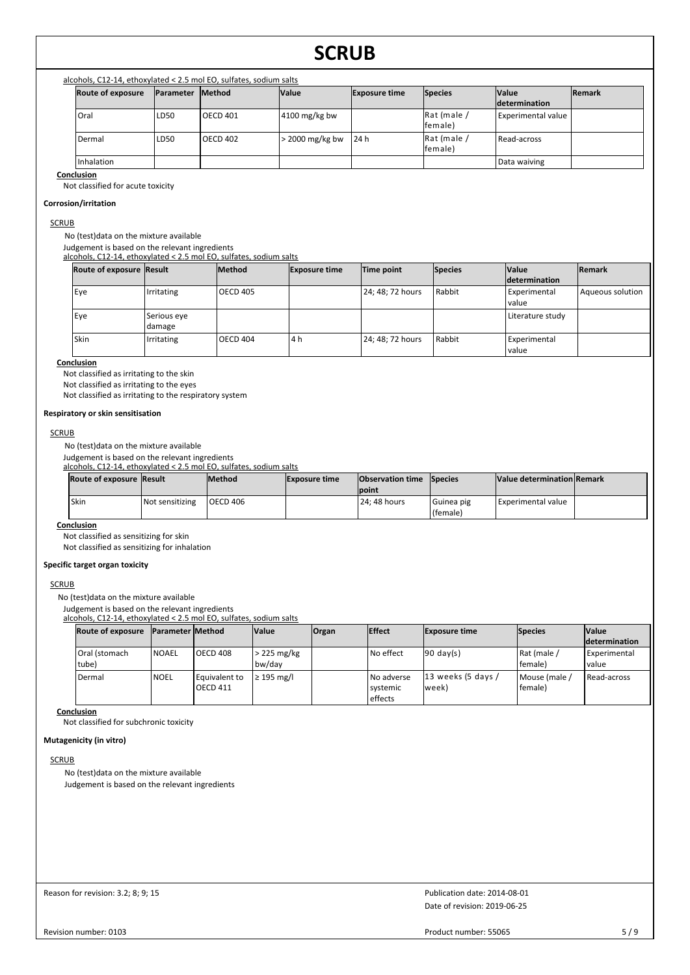alcohols, C12-14, ethoxylated < 2.5 mol EO, sulfates, sodium salts

| <b>Route of exposure</b> | <b>IParameter</b> | lMethod  | <b>Value</b>          | <b>Exposure time</b> | Species                 | <b>Value</b>              | <b>IRemark</b> |
|--------------------------|-------------------|----------|-----------------------|----------------------|-------------------------|---------------------------|----------------|
|                          |                   |          |                       |                      |                         | <b>determination</b>      |                |
| Oral                     | LD <sub>50</sub>  | OECD 401 | $4100$ mg/kg bw       |                      | Rat (male /<br>lfemale) | <b>Experimental value</b> |                |
| Dermal                   | LD <sub>50</sub>  | OECD 402 | $\cdot$ 2000 mg/kg bw | 24 h                 | Rat (male /<br>lfemale) | Read-across               |                |
| Inhalation               |                   |          |                       |                      |                         | Data waiving              |                |

#### **Conclusion**

Not classified for acute toxicity

#### **Corrosion/irritation**

#### **SCRUB**

No (test)data on the mixture available

Judgement is based on the relevant ingredients

alcohols, C12-14, ethoxylated < 2.5 mol EO, sulfates, sodium salts

| <b>Route of exposure Result</b> |                       | <b>Method</b>   | <b>Exposure time</b> | Time point       | <b>Species</b> | <b>Value</b>                        | <b>Remark</b>    |
|---------------------------------|-----------------------|-----------------|----------------------|------------------|----------------|-------------------------------------|------------------|
|                                 |                       |                 |                      |                  |                | <b>determination</b>                |                  |
| , Eye                           | <b>Irritating</b>     | <b>OECD 405</b> |                      | 24; 48; 72 hours | Rabbit         | <b>Experimental</b><br>I value      | Aqueous solution |
| Eye                             | Serious eye<br>damage |                 |                      |                  |                | Literature study                    |                  |
| Skin                            | <b>Irritating</b>     | <b>OECD 404</b> | l 4 h                | 24; 48; 72 hours | Rabbit         | <b>Experimental</b><br><b>value</b> |                  |

#### **Conclusion**

Not classified as irritating to the skin

Not classified as irritating to the eyes

Not classified as irritating to the respiratory system

### **Respiratory or skin sensitisation**

#### **SCRUB**

No (test)data on the mixture available

Judgement is based on the relevant ingredients

alcohols, C12-14, ethoxylated < 2.5 mol EO, sulfates, sodium salts

| <b>Route of exposure Result</b> |                 | <b>Method</b>    | <b>Exposure time</b> | <b>Observation time Species</b><br><b>Ipoint</b> |                            | <b>Value determination Remark</b> |  |
|---------------------------------|-----------------|------------------|----------------------|--------------------------------------------------|----------------------------|-----------------------------------|--|
| Skin                            | Not sensitizing | <b>IOECD 406</b> |                      | 124: 48 hours                                    | l Guinea pig<br>l (female) | <b>Experimental value</b>         |  |

#### **Conclusion**

Not classified as sensitizing for skin

Not classified as sensitizing for inhalation

#### **Specific target organ toxicity**

#### **SCRUB**

No (test)data on the mixture available

Judgement is based on the relevant ingredients alcohols, C12-14, ethoxylated < 2.5 mol EO, sulfates, sodium salts

| Route of exposure       | <b>Parameter Method</b> |                                  | <b>Value</b>           | <b>Organ</b> | <b>IEffect</b>                    | <b>Exposure time</b>         | <b>Species</b>         | <b>Value</b><br><b>determination</b> |
|-------------------------|-------------------------|----------------------------------|------------------------|--------------|-----------------------------------|------------------------------|------------------------|--------------------------------------|
| Oral (stomach<br>ltube) | <b>NOAEL</b>            | OECD 408                         | $>225$ mg/kg<br>bw/dav |              | No effect                         | $ 90 \text{ day}(s) $        | Rat (male /<br>female) | Experimental<br>value                |
| Dermal                  | <b>NOEL</b>             | Equivalent to<br><b>OECD 411</b> | ≥ 195 mg/l             |              | No adverse<br>systemic<br>effects | 13 weeks (5 days /<br>lweek) | Mouse (male<br>female) | Read-across                          |

**Conclusion**

Not classified for subchronic toxicity

#### **Mutagenicity (in vitro)**

#### **SCRUB**

No (test)data on the mixture available Judgement is based on the relevant ingredients

Reason for revision: 3.2; 8; 9; 15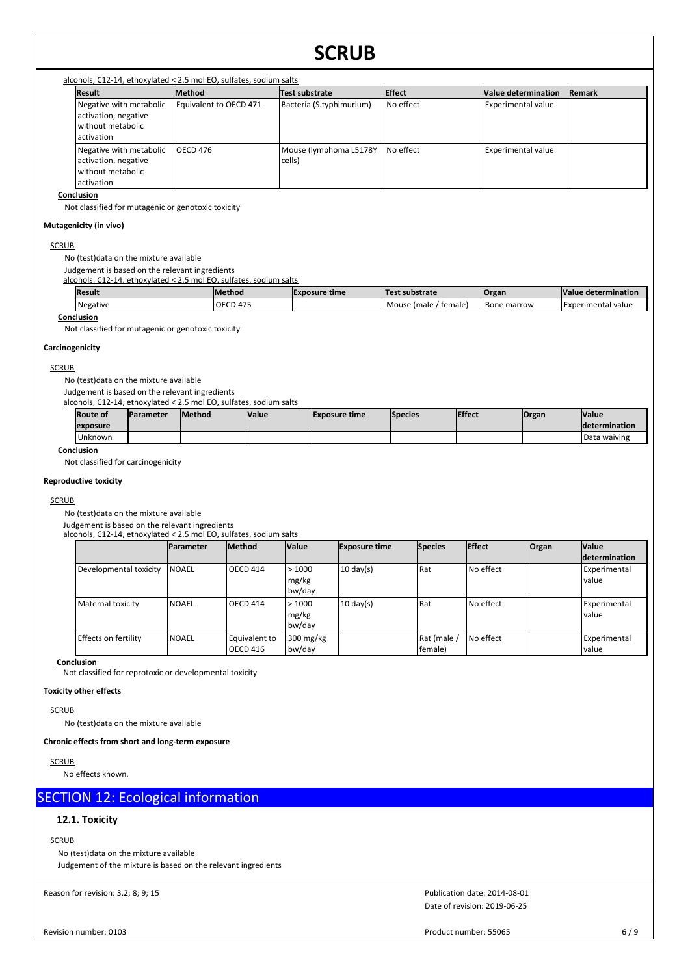alcohols, C12-14, ethoxylated < 2.5 mol EO, sulfates, sodium salts

| <b>Result</b>                                                                        | <b>Method</b>          | Test substrate                   | <b>Effect</b> | Value determination | <b>Remark</b> |  |  |  |
|--------------------------------------------------------------------------------------|------------------------|----------------------------------|---------------|---------------------|---------------|--|--|--|
| Negative with metabolic<br>activation, negative<br>without metabolic<br>l activation | Equivalent to OECD 471 | Bacteria (S.typhimurium)         | No effect     | Experimental value  |               |  |  |  |
| Negative with metabolic<br>activation, negative<br>without metabolic<br>activation   | <b>OECD 476</b>        | Mouse (lymphoma L5178Y<br>cells) | No effect     | Experimental value  |               |  |  |  |

#### **Conclusion**

Not classified for mutagenic or genotoxic toxicity

#### **Mutagenicity (in vivo)**

#### **SCRUB**

No (test)data on the mixture available

Judgement is based on the relevant ingredients

| d < 2.5 mol EO. sulfates. sodium salts<br>alcohols. C12-14.<br>. ethoxvlated · |                |                      |                       |       |                     |  |  |  |
|--------------------------------------------------------------------------------|----------------|----------------------|-----------------------|-------|---------------------|--|--|--|
| Result                                                                         | <b>IMethod</b> | <b>Exposure time</b> | <b>Test substrate</b> | Organ | Value determination |  |  |  |

| inesuit  | nvietnoù            | ILXDOSUI E UIIIE | Trest substrate               | <b>IOIKAII</b>       | <b>IVAILLE GELEMINIALION</b> |
|----------|---------------------|------------------|-------------------------------|----------------------|------------------------------|
| Negative | OECD<br><b>A 75</b> |                  | ' female)<br>(male<br>. Mouse | <b>I</b> Bone marrow | Experimental<br>' value      |
| .        |                     |                  |                               |                      |                              |

#### **Conclusion**

Not classified for mutagenic or genotoxic toxicity

# **Carcinogenicity**

#### **SCRUB**

No (test)data on the mixture available

Judgement is based on the relevant ingredients alcohols, C12-14, ethoxylated < 2.5 mol EO, sulfates, sodium salts

| <b>Route of</b><br>exposure | <b>Parameter</b> | <b>IMethod</b> | <b>Value</b> | <b>Exposure time</b> | <b>Species</b> | <b>Effect</b> | <b>Organ</b> | <i><b>Value</b></i><br><b>Idetermination</b> |
|-----------------------------|------------------|----------------|--------------|----------------------|----------------|---------------|--------------|----------------------------------------------|
| Unknown                     |                  |                |              |                      |                |               |              | Data waiving                                 |

**Conclusion** Not classified for carcinogenicity

#### **Reproductive toxicity**

### **SCRUB**

No (test)data on the mixture available

Judgement is based on the relevant ingredients alcohols, C12-14, ethoxylated < 2.5 mol EO, sulfates, sodium salts

|                        | <b>IParameter</b> | <b>Method</b>             | <b>Value</b>                                | <b>Exposure time</b> | <b>Species</b>         | <b>Effect</b> | <b>Organ</b> | <b>Value</b>          |
|------------------------|-------------------|---------------------------|---------------------------------------------|----------------------|------------------------|---------------|--------------|-----------------------|
|                        |                   |                           |                                             |                      |                        |               |              | <b>Idetermination</b> |
| Developmental toxicity | <b>INOAEL</b>     | <b>OECD 414</b>           | >1000<br>mg/kg<br>bw/day                    | $10 \text{ day(s)}$  | Rat                    | No effect     |              | Experimental<br>value |
| Maternal toxicity      | <b>NOAEL</b>      | OECD 414                  | >1000<br>mg/kg<br>bw/day                    | $10 \text{ day(s)}$  | Rat                    | No effect     |              | Experimental<br>value |
| Effects on fertility   | <b>NOAEL</b>      | Equivalent to<br>OECD 416 | $300 \frac{\text{mg}}{\text{kg}}$<br>bw/day |                      | Rat (male /<br>female) | No effect     |              | Experimental<br>value |

#### **Conclusion**

Not classified for reprotoxic or developmental toxicity

#### **Toxicity other effects**

#### **SCRUB**

No (test)data on the mixture available

#### **Chronic effects from short and long-term exposure**

**SCRUB** 

No effects known.

# SECTION 12: Ecological information

# **12.1. Toxicity**

#### **SCRUB**

No (test)data on the mixture available

Judgement of the mixture is based on the relevant ingredients

Reason for revision: 3.2; 8; 9; 15

Revision number: 0103

Date of revision: 2019-06-25 Publication date: 2014-08-01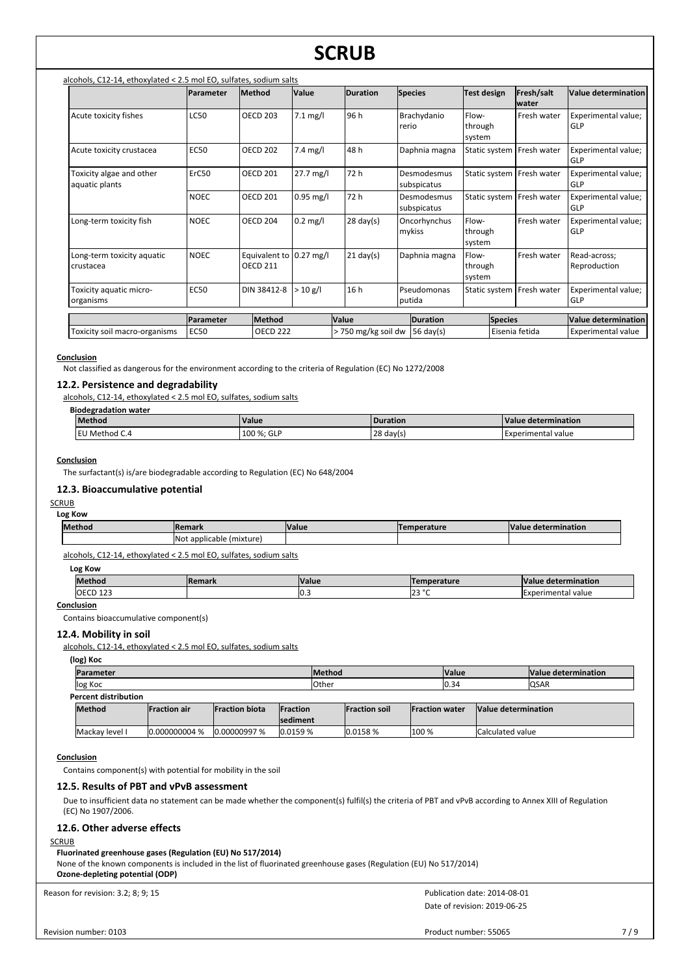|                                            | <b>Parameter</b> | Method                           | Value               | <b>Duration</b>     | <b>Species</b>             | <b>Test design</b>         | Fresh/salt<br>water         | Value determination          |
|--------------------------------------------|------------------|----------------------------------|---------------------|---------------------|----------------------------|----------------------------|-----------------------------|------------------------------|
| Acute toxicity fishes                      | <b>LC50</b>      | <b>OECD 203</b>                  | $7.1 \text{ mg/l}$  | 96 h                | Brachydanio<br>rerio       | Flow-<br>through<br>system | Fresh water                 | Experimental value;<br>GLP   |
| Acute toxicity crustacea                   | <b>EC50</b>      | <b>OECD 202</b>                  | 7.4 mg/l            | 48h                 | Daphnia magna              |                            | Static system   Fresh water | Experimental value;<br>GLP   |
| Toxicity algae and other<br>aquatic plants | ErC50            | <b>OECD 201</b>                  | $27.7 \text{ mg/l}$ | 72 h                | Desmodesmus<br>subspicatus |                            | Static system   Fresh water | Experimental value;<br>GLP   |
|                                            | <b>NOEC</b>      | <b>OECD 201</b>                  | $0.95$ mg/l         | 72 h                | Desmodesmus<br>subspicatus |                            | Static system   Fresh water | Experimental value;<br>GLP   |
| Long-term toxicity fish                    | <b>NOEC</b>      | <b>OECD 204</b>                  | $0.2$ mg/l          | $28 \text{ day}(s)$ | Oncorhynchus<br>mykiss     | Flow-<br>through<br>system | Fresh water                 | Experimental value;<br>GLP   |
| Long-term toxicity aquatic<br>crustacea    | <b>NOEC</b>      | Equivalent to<br><b>OECD 211</b> | $0.27$ mg/l         | $21 \text{ day}(s)$ | Daphnia magna              | Flow-<br>through<br>system | Fresh water                 | Read-across;<br>Reproduction |
| Toxicity aquatic micro-<br>organisms       | <b>EC50</b>      | DIN 38412-8                      | $> 10 \text{ g/l}$  | 16h                 | Pseudomonas<br>putida      |                            | Static system   Fresh water | Experimental value;<br>GLP   |
|                                            | Parameter        | Method                           |                     | <b>Value</b>        | Duration                   | <b>Species</b>             |                             | Value determination          |
| Toxicity soil macro-organisms              | <b>EC50</b>      | <b>OECD 222</b>                  |                     | > 750 mg/kg soil dw | $56 \text{ day(s)}$        |                            | Eisenia fetida              | Experimental value           |

#### **Conclusion**

Not classified as dangerous for the environment according to the criteria of Regulation (EC) No 1272/2008

# **12.2. Persistence and degradability**

alcohols, C12-14, ethoxylated < 2.5 mol EO, sulfates, sodium salts

| <b>Biodegradation water</b> |            |                 |                           |
|-----------------------------|------------|-----------------|---------------------------|
| <b>Method</b>               | Value      | <b>Duration</b> | Value determination       |
| <b>IEU Method C.4</b>       | 100 %: GLP | 128 day(s)      | <b>Experimental value</b> |

#### **Conclusion**

The surfactant(s) is/are biodegradable according to Regulation (EC) No 648/2004

## **12.3. Bioaccumulative potential**

# **SCRUB**

|--|--|--|

| Method | <b>Remark</b>                           | <b>Value</b> | mperature | <b>Value</b><br>e determination ! |
|--------|-----------------------------------------|--------------|-----------|-----------------------------------|
|        | <b>Not</b><br>(mixture)<br>: applicable |              |           |                                   |

alcohols, C12-14, ethoxylated < 2.5 mol EO, sulfates, sodium salts

#### **Log Kow**

| 220<br>$\sim$ $\sim$ $\sim$ | <b>Methoo</b>      | Remark | <b>Value</b> | mperaturr | <b>Nalue</b><br>ermination<br>' Getel |
|-----------------------------|--------------------|--------|--------------|-----------|---------------------------------------|
| . .                         | <b>OECD</b><br>دعد |        | − IO.∴       | 14.J      | Experimental value                    |

# **Conclusion**

Contains bioaccumulative component(s)

### **12.4. Mobility in soil**

alcohols, C12-14, ethoxylated < 2.5 mol EO, sulfates, sodium salts

|                      | $\cdot$       |                      |                       |                  |               |                      |                        |  |                     |  |
|----------------------|---------------|----------------------|-----------------------|------------------|---------------|----------------------|------------------------|--|---------------------|--|
| Parameter            |               |                      |                       |                  | <b>Method</b> |                      | <b>Value</b>           |  | Value determination |  |
| log Koc              |               |                      |                       | <b>l</b> Other   |               |                      | 0.34                   |  | <b>IQSAR</b>        |  |
| Percent distribution |               |                      |                       |                  |               |                      |                        |  |                     |  |
|                      | <b>Method</b> | <b>IFraction air</b> | <b>Fraction biota</b> | <b>IFraction</b> |               | <b>Fraction soil</b> | <b>IFraction water</b> |  | Value determination |  |

|              |               |                                             | <b>Isediment</b>                                       |                                         |                        |                              |
|--------------|---------------|---------------------------------------------|--------------------------------------------------------|-----------------------------------------|------------------------|------------------------------|
| Mackay level | 0.000000004 % | ົ <u>ດດ</u> ∩007 %<br>റററ<br>7ο<br>$\cdots$ | <b>0150 %</b><br>10.1<br>$\overline{\phantom{a}}$<br>. | .01500<br>$\sim$<br>.ടെ<br>IV.U<br>- 70 | 100 <sup>c</sup><br>70 | .,<br>ICalculated<br>l value |
|              |               |                                             |                                                        |                                         |                        |                              |

#### **Conclusion**

Contains component(s) with potential for mobility in the soil

#### **12.5. Results of PBT and vPvB assessment**

Due to insufficient data no statement can be made whether the component(s) fulfil(s) the criteria of PBT and vPvB according to Annex XIII of Regulation (EC) No 1907/2006.

#### **12.6. Other adverse effects**

# **SCRUB**

# **Fluorinated greenhouse gases (Regulation (EU) No 517/2014)**

None of the known components is included in the list of fluorinated greenhouse gases (Regulation (EU) No 517/2014)

# **Ozone-depleting potential (ODP)**

Reason for revision: 3.2; 8; 9; 15

Date of revision: 2019-06-25 Publication date: 2014-08-01

**Method Value Duration Value determination**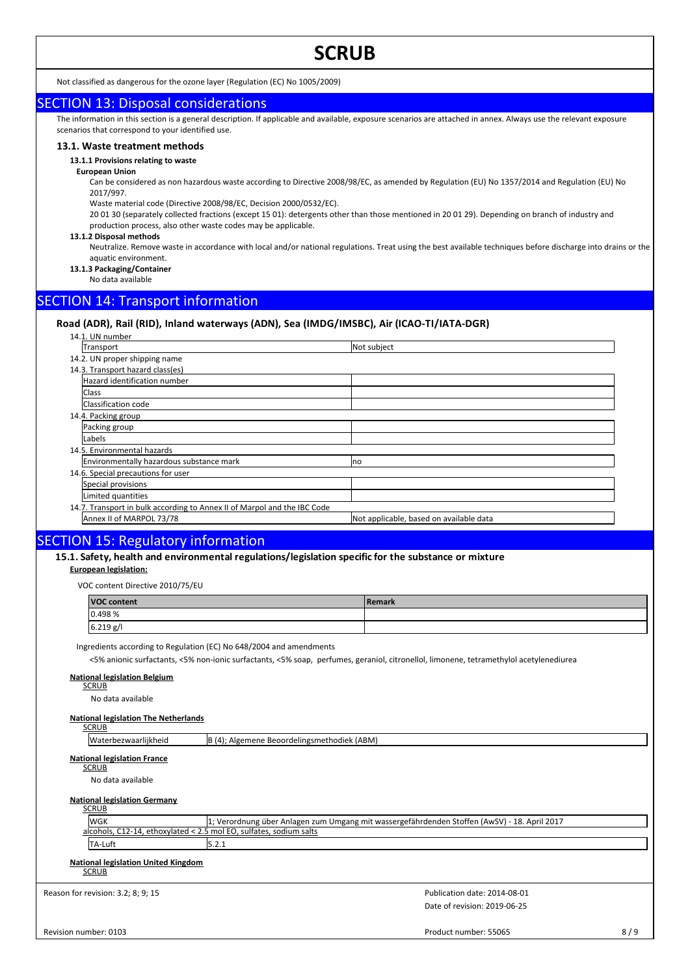Not classified as dangerous for the ozone layer (Regulation (EC) No 1005/2009)

# SECTION 13: Disposal considerations

The information in this section is a general description. If applicable and available, exposure scenarios are attached in annex. Always use the relevant exposure scenarios that correspond to your identified use.

## **13.1. Waste treatment methods**

#### **13.1.1 Provisions relating to waste**

## **European Union**

Can be considered as non hazardous waste according to Directive 2008/98/EC, as amended by Regulation (EU) No 1357/2014 and Regulation (EU) No 2017/997.

Waste material code (Directive 2008/98/EC, Decision 2000/0532/EC).

20 01 30 (separately collected fractions (except 15 01): detergents other than those mentioned in 20 01 29). Depending on branch of industry and production process, also other waste codes may be applicable.

#### **13.1.2 Disposal methods**

Neutralize. Remove waste in accordance with local and/or national regulations. Treat using the best available techniques before discharge into drains or the aquatic environment.

#### **13.1.3 Packaging/Container**

No data available

# SECTION 14: Transport information

## **Road (ADR), Rail (RID), Inland waterways (ADN), Sea (IMDG/IMSBC), Air (ICAO-TI/IATA-DGR)**

14.1. UN number

| Transport                                                                | Not subject                             |  |
|--------------------------------------------------------------------------|-----------------------------------------|--|
| 14.2. UN proper shipping name                                            |                                         |  |
| 14.3. Transport hazard class(es)                                         |                                         |  |
| Hazard identification number                                             |                                         |  |
| <b>Class</b>                                                             |                                         |  |
| Classification code                                                      |                                         |  |
| 14.4. Packing group                                                      |                                         |  |
| Packing group                                                            |                                         |  |
| Labels                                                                   |                                         |  |
| 14.5. Environmental hazards                                              |                                         |  |
| Environmentally hazardous substance mark                                 | <b>no</b>                               |  |
| 14.6. Special precautions for user                                       |                                         |  |
| Special provisions                                                       |                                         |  |
| Limited quantities                                                       |                                         |  |
| 14.7. Transport in bulk according to Annex II of Marpol and the IBC Code |                                         |  |
| Annex II of MARPOL 73/78                                                 | Not applicable, based on available data |  |
|                                                                          |                                         |  |

# SECTION 15: Regulatory information

## 15.1. Safety, health and environmental regulations/legislation specific for the substance or mixture

## **European legislation:**

VOC content Directive 2010/75/EU

| <b>VOC content</b> | Remark |
|--------------------|--------|
| 0.498 %            |        |
| $6.219$ $g/I$      |        |

Ingredients according to Regulation (EC) No 648/2004 and amendments

<5% anionic surfactants, <5% non-ionic surfactants, <5% soap, perfumes, geraniol, citronellol, limonene, tetramethylol acetylenediurea

## **National legislation Belgium**

**SCRUB** 

No data available

#### **National legislation The Netherlands SCRUB**

| Waterbezwaarlijkheid | B (4); Algemene Beoordelingsmethodiek (ABM) |  |
|----------------------|---------------------------------------------|--|
|----------------------|---------------------------------------------|--|

## **National legislation France**

**SCRUB** No data available

# **National legislation Germany**

#### **SCRUB**

| <b>WGK</b><br>1: Verordnung über Anlagen zum Umgang mit wassergefährdenden Stoffen (AwSV) - 18. April 2017 |         |  |  |  |
|------------------------------------------------------------------------------------------------------------|---------|--|--|--|
| alcohols, C12-14, ethoxylated < 2.5 mol EO, sulfates, sodium salts                                         |         |  |  |  |
| <b>TA-Luft</b>                                                                                             | ے . ۔ ۔ |  |  |  |
|                                                                                                            |         |  |  |  |

#### **National legislation United Kingdom** SCRUB

Reason for revision: 3.2; 8; 9; 15

Date of revision: 2019-06-25 Publication date: 2014-08-01